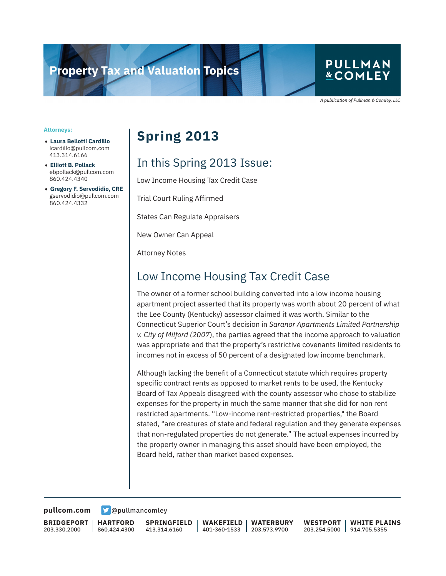# **Property Tax and Valuation Topics**

### **PULLMAN &COMLEY**

A publication of Pullman & Comley, LLC

#### **Attorneys:**

- **Laura Bellotti Cardillo** lcardillo@pullcom.com 413.314.6166
- **Elliott B. Pollack** ebpollack@pullcom.com 860.424.4340
- **Gregory F. Servodidio, CRE** gservodidio@pullcom.com 860.424.4332

# **Spring 2013**

# In this Spring 2013 Issue:

Low Income Housing Tax Credit Case

Trial Court Ruling Affirmed

States Can Regulate Appraisers

New Owner Can Appeal

Attorney Notes

# Low Income Housing Tax Credit Case

The owner of a former school building converted into a low income housing apartment project asserted that its property was worth about 20 percent of what the Lee County (Kentucky) assessor claimed it was worth. Similar to the Connecticut Superior Court's decision in *Saranor Apartments Limited Partnership v. City of Milford (2007*), the parties agreed that the income approach to valuation was appropriate and that the property's restrictive covenants limited residents to incomes not in excess of 50 percent of a designated low income benchmark.

Although lacking the benefit of a Connecticut statute which requires property specific contract rents as opposed to market rents to be used, the Kentucky Board of Tax Appeals disagreed with the county assessor who chose to stabilize expenses for the property in much the same manner that she did for non rent restricted apartments. "Low-income rent-restricted properties," the Board stated, "are creatures of state and federal regulation and they generate expenses that non-regulated properties do not generate." The actual expenses incurred by the property owner in managing this asset should have been employed, the Board held, rather than market based expenses.

**[pullcom.com](https://www.pullcom.com) g** [@pullmancomley](https://twitter.com/PullmanComley)

**BRIDGEPORT** 203.330.2000

**HARTFORD** 860.424.4300

**SPRINGFIELD** 413.314.6160

**WAKEFIELD** 401-360-1533 **WATERBURY** 203.573.9700

**WESTPORT** 203.254.5000 914.705.5355 **WHITE PLAINS**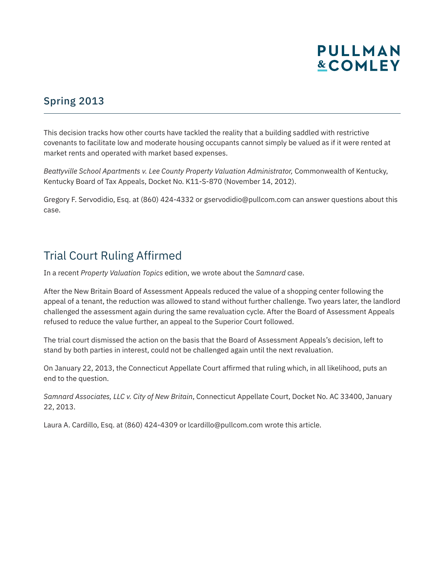

#### Spring 2013

This decision tracks how other courts have tackled the reality that a building saddled with restrictive covenants to facilitate low and moderate housing occupants cannot simply be valued as if it were rented at market rents and operated with market based expenses.

*Beattyville School Apartments v. Lee County Property Valuation Administrator,* Commonwealth of Kentucky, Kentucky Board of Tax Appeals, Docket No. K11-S-870 (November 14, 2012).

Gregory F. Servodidio, Esq. at (860) 424-4332 or gservodidio@pullcom.com can answer questions about this case.

### Trial Court Ruling Affirmed

In a recent *Property Valuation Topics* edition, we wrote about the *Samnard* case.

After the New Britain Board of Assessment Appeals reduced the value of a shopping center following the appeal of a tenant, the reduction was allowed to stand without further challenge. Two years later, the landlord challenged the assessment again during the same revaluation cycle. After the Board of Assessment Appeals refused to reduce the value further, an appeal to the Superior Court followed.

The trial court dismissed the action on the basis that the Board of Assessment Appeals's decision, left to stand by both parties in interest, could not be challenged again until the next revaluation.

On January 22, 2013, the Connecticut Appellate Court affirmed that ruling which, in all likelihood, puts an end to the question.

*Samnard Associates, LLC v. City of New Britain*, Connecticut Appellate Court, Docket No. AC 33400, January 22, 2013.

Laura A. Cardillo, Esq. at (860) 424-4309 or lcardillo@pullcom.com wrote this article.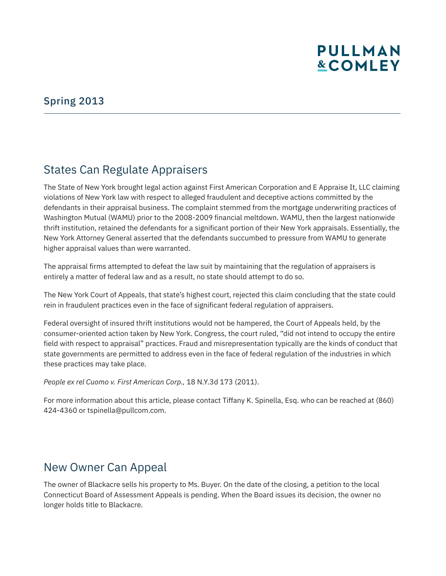# **PULLMAN &COMLEY**

#### Spring 2013

### States Can Regulate Appraisers

The State of New York brought legal action against First American Corporation and E Appraise It, LLC claiming violations of New York law with respect to alleged fraudulent and deceptive actions committed by the defendants in their appraisal business. The complaint stemmed from the mortgage underwriting practices of Washington Mutual (WAMU) prior to the 2008-2009 financial meltdown. WAMU, then the largest nationwide thrift institution, retained the defendants for a significant portion of their New York appraisals. Essentially, the New York Attorney General asserted that the defendants succumbed to pressure from WAMU to generate higher appraisal values than were warranted.

The appraisal firms attempted to defeat the law suit by maintaining that the regulation of appraisers is entirely a matter of federal law and as a result, no state should attempt to do so.

The New York Court of Appeals, that state's highest court, rejected this claim concluding that the state could rein in fraudulent practices even in the face of significant federal regulation of appraisers.

Federal oversight of insured thrift institutions would not be hampered, the Court of Appeals held, by the consumer-oriented action taken by New York. Congress, the court ruled, "did not intend to occupy the entire field with respect to appraisal" practices. Fraud and misrepresentation typically are the kinds of conduct that state governments are permitted to address even in the face of federal regulation of the industries in which these practices may take place.

*People ex rel Cuomo v. First American Corp.,* 18 N.Y.3d 173 (2011).

For more information about this article, please contact Tiffany K. Spinella, Esq. who can be reached at (860) 424-4360 or tspinella@pullcom.com.

### New Owner Can Appeal

The owner of Blackacre sells his property to Ms. Buyer. On the date of the closing, a petition to the local Connecticut Board of Assessment Appeals is pending. When the Board issues its decision, the owner no longer holds title to Blackacre.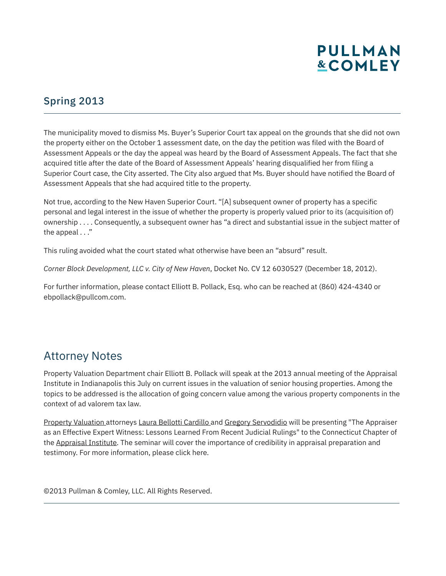# **PULLMAN &COMLEY**

#### Spring 2013

The municipality moved to dismiss Ms. Buyer's Superior Court tax appeal on the grounds that she did not own the property either on the October 1 assessment date, on the day the petition was filed with the Board of Assessment Appeals or the day the appeal was heard by the Board of Assessment Appeals. The fact that she acquired title after the date of the Board of Assessment Appeals' hearing disqualified her from filing a Superior Court case, the City asserted. The City also argued that Ms. Buyer should have notified the Board of Assessment Appeals that she had acquired title to the property.

Not true, according to the New Haven Superior Court. "[A] subsequent owner of property has a specific personal and legal interest in the issue of whether the property is properly valued prior to its (acquisition of) ownership . . . . Consequently, a subsequent owner has "a direct and substantial issue in the subject matter of the appeal . . ."

This ruling avoided what the court stated what otherwise have been an "absurd" result.

*Corner Block Development, LLC v. City of New Haven*, Docket No. CV 12 6030527 (December 18, 2012).

For further information, please contact Elliott B. Pollack, Esq. who can be reached at (860) 424-4340 or ebpollack@pullcom.com.

# Attorney Notes

l

Property Valuation Department chair Elliott B. Pollack will speak at the 2013 annual meeting of the Appraisal Institute in Indianapolis this July on current issues in the valuation of senior housing properties. Among the topics to be addressed is the allocation of going concern value among the various property components in the context of ad valorem tax law.

Property Valuation attorneys Laura Bellotti Cardillo and Gregory Servodidio will be presenting "The Appraiser as an Effective Expert Witness: Lessons Learned From Recent Judicial Rulings" to the Connecticut Chapter of the Appraisal Institute. The seminar will cover the importance of credibility in appraisal preparation and testimony. For more information, please click here.

©2013 Pullman & Comley, LLC. All Rights Reserved.